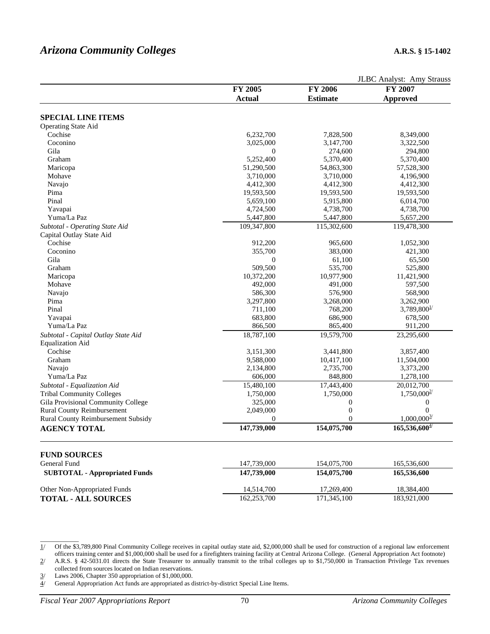|                                           |                  |                  | JLBC Analyst: Amy Strauss |
|-------------------------------------------|------------------|------------------|---------------------------|
|                                           | FY 2005          | <b>FY 2006</b>   | FY 2007                   |
|                                           | <b>Actual</b>    | <b>Estimate</b>  | <b>Approved</b>           |
|                                           |                  |                  |                           |
| <b>SPECIAL LINE ITEMS</b>                 |                  |                  |                           |
| <b>Operating State Aid</b>                |                  |                  |                           |
| Cochise                                   | 6,232,700        | 7,828,500        | 8,349,000                 |
| Coconino                                  | 3,025,000        | 3,147,700        | 3,322,500                 |
| Gila                                      | $\boldsymbol{0}$ | 274,600          | 294,800                   |
| Graham                                    | 5,252,400        | 5,370,400        | 5,370,400                 |
| Maricopa                                  | 51,290,500       | 54,863,300       | 57,528,300                |
| Mohave                                    | 3,710,000        | 3,710,000        | 4,196,900                 |
| Navajo                                    | 4,412,300        | 4,412,300        | 4,412,300                 |
| Pima                                      | 19,593,500       | 19,593,500       | 19,593,500                |
| Pinal                                     | 5,659,100        | 5,915,800        | 6,014,700                 |
| Yavapai                                   | 4,724,500        | 4,738,700        | 4,738,700                 |
| Yuma/La Paz                               | 5,447,800        | 5,447,800        | 5,657,200                 |
| Subtotal - Operating State Aid            | 109,347,800      | 115,302,600      | 119,478,300               |
| Capital Outlay State Aid                  |                  |                  |                           |
| Cochise                                   | 912,200          | 965,600          | 1,052,300                 |
| Coconino                                  | 355,700          | 383,000          | 421,300                   |
| Gila                                      | $\boldsymbol{0}$ | 61,100           | 65,500                    |
| Graham                                    | 509,500          | 535,700          | 525,800                   |
| Maricopa                                  | 10,372,200       | 10,977,900       | 11,421,900                |
| Mohave                                    | 492,000          | 491,000          | 597,500                   |
| Navajo                                    | 586,300          | 576,900          | 568,900                   |
| Pima                                      | 3,297,800        | 3,268,000        | 3,262,900                 |
| Pinal                                     | 711,100          | 768,200          | 3,789,800 <sup>1</sup>    |
| Yavapai                                   | 683,800          | 686,900          | 678,500                   |
| Yuma/La Paz                               | 866,500          | 865,400          | 911,200                   |
| Subtotal - Capital Outlay State Aid       | 18,787,100       | 19,579,700       | 23,295,600                |
| <b>Equalization Aid</b>                   |                  |                  |                           |
| Cochise                                   | 3,151,300        | 3,441,800        | 3,857,400                 |
| Graham                                    | 9,588,000        | 10,417,100       | 11,504,000                |
| Navajo                                    | 2,134,800        | 2,735,700        | 3,373,200                 |
| Yuma/La Paz                               | 606,000          | 848,800          | 1,278,100                 |
| Subtotal - Equalization Aid               | 15,480,100       | 17,443,400       | 20,012,700                |
| <b>Tribal Community Colleges</b>          | 1,750,000        | 1,750,000        | $1,750,000^{27}$          |
| Gila Provisional Community College        | 325,000          | $\boldsymbol{0}$ | $\boldsymbol{0}$          |
| <b>Rural County Reimbursement</b>         | 2,049,000        | $\boldsymbol{0}$ | $\overline{0}$            |
| <b>Rural County Reimbursement Subsidy</b> | $\mathbf{0}$     | $\theta$         | $1,000,000^{3/2}$         |
| <b>AGENCY TOTAL</b>                       | 147,739,000      | 154,075,700      | $165,536,600^{4/3}$       |
|                                           |                  |                  |                           |
| <b>FUND SOURCES</b>                       |                  |                  |                           |
| General Fund                              | 147,739,000      | 154,075,700      | 165,536,600               |
| <b>SUBTOTAL - Appropriated Funds</b>      | 147,739,000      | 154,075,700      | 165,536,600               |
|                                           |                  |                  |                           |
| Other Non-Appropriated Funds              | 14,514,700       | 17,269,400       | 18,384,400                |
| <b>TOTAL - ALL SOURCES</b>                | 162,253,700      | 171,345,100      | 183,921,000               |

1/ Of the \$3,789,800 Pinal Community College receives in capital outlay state aid, \$2,000,000 shall be used for construction of a regional law enforcement officers training center and \$1,000,000 shall be used for a firefighters training facility at Central Arizona College. (General Appropriation Act footnote)

2/ A.R.S. § 42-5031.01 directs the State Treasurer to annually transmit to the tribal colleges up to \$1,750,000 in Transaction Privilege Tax revenues collected from sources located on Indian reservations.

3/ Laws 2006, Chapter 350 appropriation of \$1,000,000.

4/ General Appropriation Act funds are appropriated as district-by-district Special Line Items.

\_\_\_\_\_\_\_\_\_\_\_\_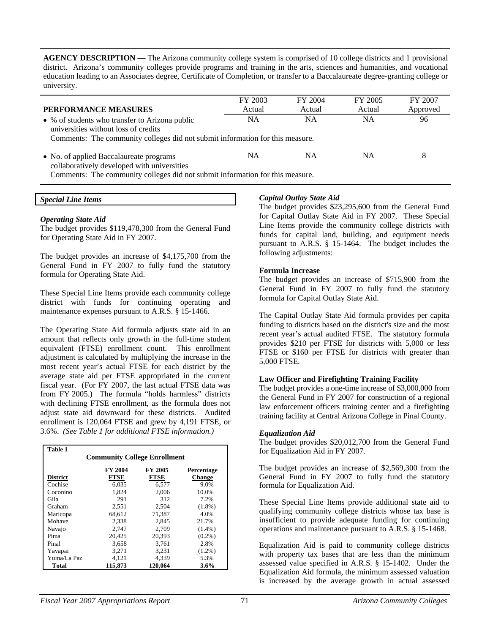**AGENCY DESCRIPTION** — The Arizona community college system is comprised of 10 college districts and 1 provisional district. Arizona's community colleges provide programs and training in the arts, sciences and humanities, and vocational education leading to an Associates degree, Certificate of Completion, or transfer to a Baccalaureate degree-granting college or university.

| PERFORMANCE MEASURES                                                                                                                                                    | FY 2003<br>Actual | FY 2004<br>Actual | FY 2005<br>Actual | FY 2007<br>Approved |
|-------------------------------------------------------------------------------------------------------------------------------------------------------------------------|-------------------|-------------------|-------------------|---------------------|
| • % of students who transfer to Arizona public<br>universities without loss of credits<br>Comments: The community colleges did not submit information for this measure. | <b>NA</b>         | <b>NA</b>         | NA                | 96                  |
| • No. of applied Baccalaureate programs<br>collaboratively developed with universities<br>Comments: The community colleges did not submit information for this measure. | NA                | <b>NA</b>         | NA                | 8                   |

### *Special Line Items*

### *Operating State Aid*

The budget provides \$119,478,300 from the General Fund for Operating State Aid in FY 2007.

The budget provides an increase of \$4,175,700 from the General Fund in FY 2007 to fully fund the statutory formula for Operating State Aid.

These Special Line Items provide each community college district with funds for continuing operating and maintenance expenses pursuant to A.R.S. § 15-1466.

The Operating State Aid formula adjusts state aid in an amount that reflects only growth in the full-time student equivalent (FTSE) enrollment count. This enrollment adjustment is calculated by multiplying the increase in the most recent year's actual FTSE for each district by the average state aid per FTSE appropriated in the current fiscal year. (For FY 2007, the last actual FTSE data was from FY 2005.) The formula "holds harmless" districts with declining FTSE enrollment, as the formula does not adjust state aid downward for these districts. Audited enrollment is 120,064 FTSE and grew by 4,191 FTSE, or 3.6%. *(See Table 1 for additional FTSE information.)*

| <b>Table 1</b>                      |             |                |               |  |  |
|-------------------------------------|-------------|----------------|---------------|--|--|
| <b>Community College Enrollment</b> |             |                |               |  |  |
|                                     | FY 2004     | <b>FY 2005</b> | Percentage    |  |  |
| <b>District</b>                     | <b>FTSE</b> | <b>FTSE</b>    | <b>Change</b> |  |  |
| Cochise                             | 6.035       | 6.577          | 9.0%          |  |  |
| Coconino                            | 1,824       | 2.006          | 10.0%         |  |  |
| Gila                                | 291         | 312            | 7.2%          |  |  |
| Graham                              | 2,551       | 2,504          | $(1.8\%)$     |  |  |
| Maricopa                            | 68,612      | 71,387         | 4.0%          |  |  |
| Mohave                              | 2.338       | 2.845          | 21.7%         |  |  |
| Navajo                              | 2.747       | 2.709          | $(1.4\%)$     |  |  |
| Pima                                | 20,425      | 20,393         | $(0.2\%)$     |  |  |
| Pinal                               | 3,658       | 3,761          | 2.8%          |  |  |
| Yavapai                             | 3,271       | 3,231          | $(1.2\%)$     |  |  |
| Yuma/La Paz                         | 4,121       | 4,339          | 5.3%          |  |  |
| Total                               | 115,873     | 120,064        | 3.6%          |  |  |

### *Capital Outlay State Aid*

The budget provides \$23,295,600 from the General Fund for Capital Outlay State Aid in FY 2007. These Special Line Items provide the community college districts with funds for capital land, building, and equipment needs pursuant to A.R.S. § 15-1464. The budget includes the following adjustments:

### **Formula Increase**

The budget provides an increase of \$715,900 from the General Fund in FY 2007 to fully fund the statutory formula for Capital Outlay State Aid.

The Capital Outlay State Aid formula provides per capita funding to districts based on the district's size and the most recent year's actual audited FTSE. The statutory formula provides \$210 per FTSE for districts with 5,000 or less FTSE or \$160 per FTSE for districts with greater than 5,000 FTSE.

### **Law Officer and Firefighting Training Facility**

The budget provides a one-time increase of \$3,000,000 from the General Fund in FY 2007 for construction of a regional law enforcement officers training center and a firefighting training facility at Central Arizona College in Pinal County.

### *Equalization Aid*

The budget provides \$20,012,700 from the General Fund for Equalization Aid in FY 2007.

The budget provides an increase of \$2,569,300 from the General Fund in FY 2007 to fully fund the statutory formula for Equalization Aid.

These Special Line Items provide additional state aid to qualifying community college districts whose tax base is insufficient to provide adequate funding for continuing operations and maintenance pursuant to A.R.S. § 15-1468.

Equalization Aid is paid to community college districts with property tax bases that are less than the minimum assessed value specified in A.R.S. § 15-1402. Under the Equalization Aid formula, the minimum assessed valuation is increased by the average growth in actual assessed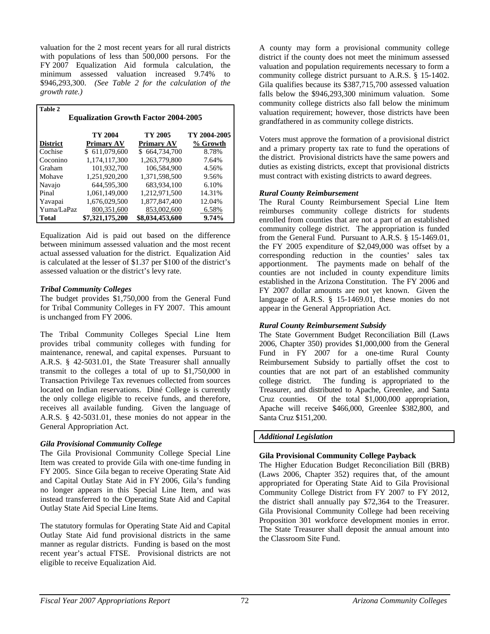valuation for the 2 most recent years for all rural districts with populations of less than 500,000 persons. For the FY 2007 Equalization Aid formula calculation, the minimum assessed valuation increased 9.74% to \$946,293,300. *(See Table 2 for the calculation of the growth rate.)* 

| Table 2         |                                             |                   |              |  |  |  |
|-----------------|---------------------------------------------|-------------------|--------------|--|--|--|
|                 | <b>Equalization Growth Factor 2004-2005</b> |                   |              |  |  |  |
|                 |                                             |                   |              |  |  |  |
|                 | TY 2004                                     | TY 2005           | TY 2004-2005 |  |  |  |
| <b>District</b> | <b>Primary AV</b>                           | <b>Primary AV</b> | % Growth     |  |  |  |
| Cochise         | \$611,079,600                               | \$664,734,700     | 8.78%        |  |  |  |
| Coconino        | 1,174,117,300                               | 1.263.779.800     | 7.64%        |  |  |  |
| Graham          | 101,932,700                                 | 106.584.900       | 4.56%        |  |  |  |
| Mohave          | 1.251.920.200                               | 1.371.598.500     | 9.56%        |  |  |  |
| Navajo          | 644,595,300                                 | 683,934,100       | 6.10%        |  |  |  |
| Pinal           | 1.061.149.000                               | 1.212.971.500     | 14.31%       |  |  |  |
| Yavapai         | 1,676,029,500                               | 1,877,847,400     | 12.04%       |  |  |  |
| Yuma/LaPaz      | 800,351,600                                 | 853,002,600       | 6.58%        |  |  |  |
| <b>Total</b>    | \$7,321,175,200                             | \$8,034,453,600   | 9.74%        |  |  |  |

Equalization Aid is paid out based on the difference between minimum assessed valuation and the most recent actual assessed valuation for the district. Equalization Aid is calculated at the lesser of \$1.37 per \$100 of the district's assessed valuation or the district's levy rate.

## *Tribal Community Colleges*

The budget provides \$1,750,000 from the General Fund for Tribal Community Colleges in FY 2007. This amount is unchanged from FY 2006.

The Tribal Community Colleges Special Line Item provides tribal community colleges with funding for maintenance, renewal, and capital expenses. Pursuant to A.R.S. § 42-5031.01, the State Treasurer shall annually transmit to the colleges a total of up to \$1,750,000 in Transaction Privilege Tax revenues collected from sources located on Indian reservations. Diné College is currently the only college eligible to receive funds, and therefore, receives all available funding. Given the language of A.R.S. § 42-5031.01, these monies do not appear in the General Appropriation Act.

## *Gila Provisional Community College*

The Gila Provisional Community College Special Line Item was created to provide Gila with one-time funding in FY 2005. Since Gila began to receive Operating State Aid and Capital Outlay State Aid in FY 2006, Gila's funding no longer appears in this Special Line Item, and was instead transferred to the Operating State Aid and Capital Outlay State Aid Special Line Items.

The statutory formulas for Operating State Aid and Capital Outlay State Aid fund provisional districts in the same manner as regular districts. Funding is based on the most recent year's actual FTSE. Provisional districts are not eligible to receive Equalization Aid.

A county may form a provisional community college district if the county does not meet the minimum assessed valuation and population requirements necessary to form a community college district pursuant to A.R.S. § 15-1402. Gila qualifies because its \$387,715,700 assessed valuation falls below the \$946,293,300 minimum valuation. Some community college districts also fall below the minimum valuation requirement; however, those districts have been grandfathered in as community college districts.

Voters must approve the formation of a provisional district and a primary property tax rate to fund the operations of the district. Provisional districts have the same powers and duties as existing districts, except that provisional districts must contract with existing districts to award degrees.

## *Rural County Reimbursement*

The Rural County Reimbursement Special Line Item reimburses community college districts for students enrolled from counties that are not a part of an established community college district. The appropriation is funded from the General Fund. Pursuant to A.R.S. § 15-1469.01, the FY 2005 expenditure of \$2,049,000 was offset by a corresponding reduction in the counties' sales tax apportionment. The payments made on behalf of the counties are not included in county expenditure limits established in the Arizona Constitution. The FY 2006 and FY 2007 dollar amounts are not yet known. Given the language of A.R.S. § 15-1469.01, these monies do not appear in the General Appropriation Act.

## *Rural County Reimbursement Subsidy*

The State Government Budget Reconciliation Bill (Laws 2006, Chapter 350) provides \$1,000,000 from the General Fund in FY 2007 for a one-time Rural County Reimbursement Subsidy to partially offset the cost to counties that are not part of an established community college district. The funding is appropriated to the Treasurer, and distributed to Apache, Greenlee, and Santa Cruz counties. Of the total \$1,000,000 appropriation, Apache will receive \$466,000, Greenlee \$382,800, and Santa Cruz \$151,200.

## *Additional Legislation*

# **Gila Provisional Community College Payback**

The Higher Education Budget Reconciliation Bill (BRB) (Laws 2006, Chapter 352) requires that, of the amount appropriated for Operating State Aid to Gila Provisional Community College District from FY 2007 to FY 2012, the district shall annually pay \$72,364 to the Treasurer. Gila Provisional Community College had been receiving Proposition 301 workforce development monies in error. The State Treasurer shall deposit the annual amount into the Classroom Site Fund.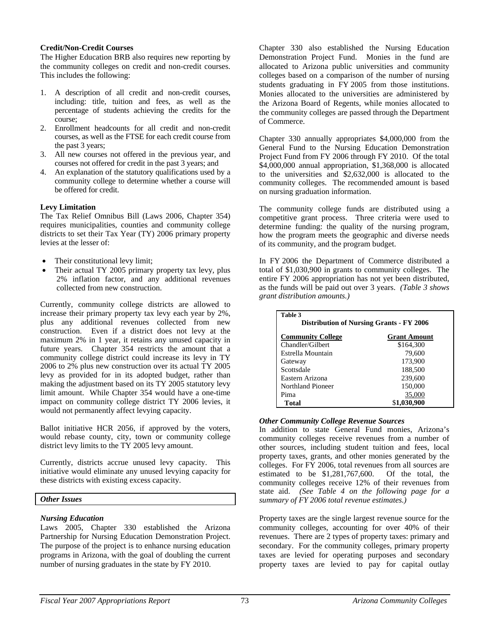### **Credit/Non-Credit Courses**

The Higher Education BRB also requires new reporting by the community colleges on credit and non-credit courses. This includes the following:

- 1. A description of all credit and non-credit courses, including: title, tuition and fees, as well as the percentage of students achieving the credits for the course;
- 2. Enrollment headcounts for all credit and non-credit courses, as well as the FTSE for each credit course from the past 3 years;
- 3. All new courses not offered in the previous year, and courses not offered for credit in the past 3 years; and
- 4. An explanation of the statutory qualifications used by a community college to determine whether a course will be offered for credit.

## **Levy Limitation**

The Tax Relief Omnibus Bill (Laws 2006, Chapter 354) requires municipalities, counties and community college districts to set their Tax Year (TY) 2006 primary property levies at the lesser of:

- Their constitutional levy limit;
- Their actual TY 2005 primary property tax levy, plus 2% inflation factor, and any additional revenues collected from new construction.

Currently, community college districts are allowed to increase their primary property tax levy each year by 2%, plus any additional revenues collected from new construction. Even if a district does not levy at the maximum 2% in 1 year, it retains any unused capacity in future years. Chapter 354 restricts the amount that a community college district could increase its levy in TY 2006 to 2% plus new construction over its actual TY 2005 levy as provided for in its adopted budget, rather than making the adjustment based on its TY 2005 statutory levy limit amount. While Chapter 354 would have a one-time impact on community college district TY 2006 levies, it would not permanently affect levying capacity.

Ballot initiative HCR 2056, if approved by the voters, would rebase county, city, town or community college district levy limits to the TY 2005 levy amount.

Currently, districts accrue unused levy capacity. This initiative would eliminate any unused levying capacity for these districts with existing excess capacity.

## *Other Issues*

## *Nursing Education*

Laws 2005, Chapter 330 established the Arizona Partnership for Nursing Education Demonstration Project. The purpose of the project is to enhance nursing education programs in Arizona, with the goal of doubling the current number of nursing graduates in the state by FY 2010.

Chapter 330 also established the Nursing Education Demonstration Project Fund. Monies in the fund are allocated to Arizona public universities and community colleges based on a comparison of the number of nursing students graduating in FY 2005 from those institutions. Monies allocated to the universities are administered by the Arizona Board of Regents, while monies allocated to the community colleges are passed through the Department of Commerce.

Chapter 330 annually appropriates \$4,000,000 from the General Fund to the Nursing Education Demonstration Project Fund from FY 2006 through FY 2010. Of the total \$4,000,000 annual appropriation, \$1,368,000 is allocated to the universities and \$2,632,000 is allocated to the community colleges. The recommended amount is based on nursing graduation information.

The community college funds are distributed using a competitive grant process. Three criteria were used to determine funding: the quality of the nursing program, how the program meets the geographic and diverse needs of its community, and the program budget.

In FY 2006 the Department of Commerce distributed a total of \$1,030,900 in grants to community colleges. The entire FY 2006 appropriation has not yet been distributed, as the funds will be paid out over 3 years. *(Table 3 shows grant distribution amounts.)*

| Table 3<br><b>Distribution of Nursing Grants - FY 2006</b> |                     |  |
|------------------------------------------------------------|---------------------|--|
| <b>Community College</b>                                   | <b>Grant Amount</b> |  |
| Chandler/Gilbert                                           | \$164,300           |  |
| Estrella Mountain                                          | 79,600              |  |
| Gateway                                                    | 173,900             |  |
| Scottsdale                                                 | 188,500             |  |
| Eastern Arizona                                            | 239,600             |  |
| Northland Pioneer                                          | 150,000             |  |
| Pima                                                       | 35,000              |  |
| Total                                                      | \$1,030,900         |  |

### *Other Community College Revenue Sources*

In addition to state General Fund monies, Arizona's community colleges receive revenues from a number of other sources, including student tuition and fees, local property taxes, grants, and other monies generated by the colleges. For FY 2006, total revenues from all sources are estimated to be \$1,281,767,600. Of the total, the community colleges receive 12% of their revenues from state aid. *(See Table 4 on the following page for a summary of FY 2006 total revenue estimates.)* 

Property taxes are the single largest revenue source for the community colleges, accounting for over 40% of their revenues. There are 2 types of property taxes: primary and secondary. For the community colleges, primary property taxes are levied for operating purposes and secondary property taxes are levied to pay for capital outlay